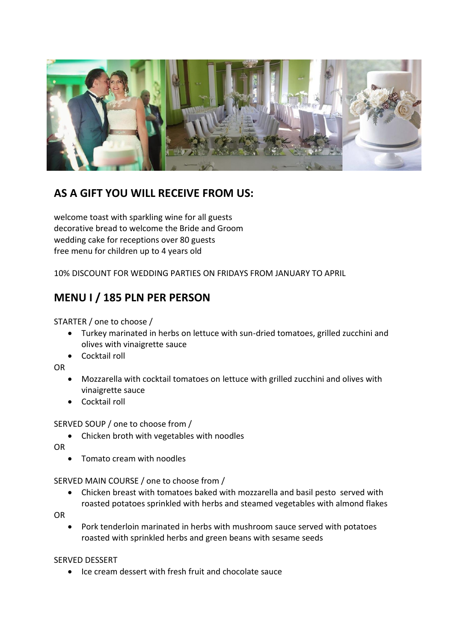

## **AS A GIFT YOU WILL RECEIVE FROM US:**

welcome toast with sparkling wine for all guests decorative bread to welcome the Bride and Groom wedding cake for receptions over 80 guests free menu for children up to 4 years old

10% DISCOUNT FOR WEDDING PARTIES ON FRIDAYS FROM JANUARY TO APRIL

## **MENU I / 185 PLN PER PERSON**

STARTER / one to choose /

- Turkey marinated in herbs on lettuce with sun-dried tomatoes, grilled zucchini and olives with vinaigrette sauce
- Cocktail roll

OR

- Mozzarella with cocktail tomatoes on lettuce with grilled zucchini and olives with vinaigrette sauce
- Cocktail roll

SERVED SOUP / one to choose from /

Chicken broth with vegetables with noodles

OR

Tomato cream with noodles

SERVED MAIN COURSE / one to choose from /

 Chicken breast with tomatoes baked with mozzarella and basil pesto served with roasted potatoes sprinkled with herbs and steamed vegetables with almond flakes

OR

 Pork tenderloin marinated in herbs with mushroom sauce served with potatoes roasted with sprinkled herbs and green beans with sesame seeds

SERVED DESSERT

Ice cream dessert with fresh fruit and chocolate sauce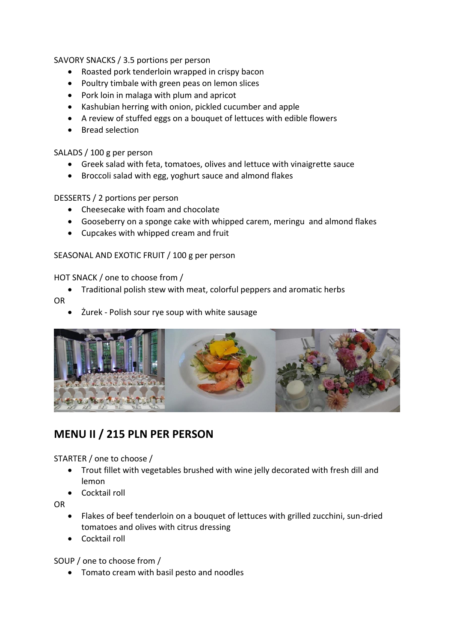### SAVORY SNACKS / 3.5 portions per person

- Roasted pork tenderloin wrapped in crispy bacon
- Poultry timbale with green peas on lemon slices
- Pork loin in malaga with plum and apricot
- Kashubian herring with onion, pickled cucumber and apple
- A review of stuffed eggs on a bouquet of lettuces with edible flowers
- Bread selection

## SALADS / 100 g per person

- Greek salad with feta, tomatoes, olives and lettuce with vinaigrette sauce
- Broccoli salad with egg, yoghurt sauce and almond flakes

## DESSERTS / 2 portions per person

- Cheesecake with foam and chocolate
- Gooseberry on a sponge cake with whipped carem, meringu and almond flakes
- Cupcakes with whipped cream and fruit

## SEASONAL AND EXOTIC FRUIT / 100 g per person

## HOT SNACK / one to choose from /

- Traditional polish stew with meat, colorful peppers and aromatic herbs
- OR
	- Żurek Polish sour rye soup with white sausage



## **MENU II / 215 PLN PER PERSON**

STARTER / one to choose /

- Trout fillet with vegetables brushed with wine jelly decorated with fresh dill and lemon
- **Cocktail roll**

OR

- Flakes of beef tenderloin on a bouquet of lettuces with grilled zucchini, sun-dried tomatoes and olives with citrus dressing
- Cocktail roll

SOUP / one to choose from /

• Tomato cream with basil pesto and noodles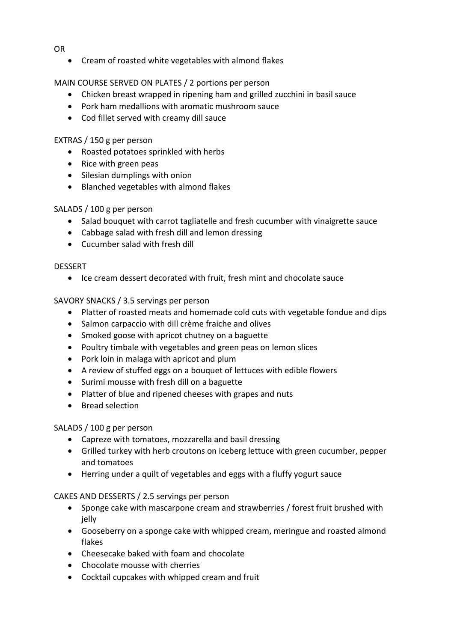- OR
	- Cream of roasted white vegetables with almond flakes

## MAIN COURSE SERVED ON PLATES / 2 portions per person

- Chicken breast wrapped in ripening ham and grilled zucchini in basil sauce
- Pork ham medallions with aromatic mushroom sauce
- Cod fillet served with creamy dill sauce

## EXTRAS / 150 g per person

- Roasted potatoes sprinkled with herbs
- Rice with green peas
- Silesian dumplings with onion
- Blanched vegetables with almond flakes

## SALADS / 100 g per person

- Salad bouquet with carrot tagliatelle and fresh cucumber with vinaigrette sauce
- Cabbage salad with fresh dill and lemon dressing
- Cucumber salad with fresh dill

### **DESSERT**

• Ice cream dessert decorated with fruit, fresh mint and chocolate sauce

## SAVORY SNACKS / 3.5 servings per person

- Platter of roasted meats and homemade cold cuts with vegetable fondue and dips
- Salmon carpaccio with dill crème fraiche and olives
- Smoked goose with apricot chutney on a baguette
- Poultry timbale with vegetables and green peas on lemon slices
- Pork loin in malaga with apricot and plum
- A review of stuffed eggs on a bouquet of lettuces with edible flowers
- Surimi mousse with fresh dill on a baguette
- Platter of blue and ripened cheeses with grapes and nuts
- Bread selection

## SALADS / 100 g per person

- Capreze with tomatoes, mozzarella and basil dressing
- Grilled turkey with herb croutons on iceberg lettuce with green cucumber, pepper and tomatoes
- Herring under a quilt of vegetables and eggs with a fluffy yogurt sauce

## CAKES AND DESSERTS / 2.5 servings per person

- Sponge cake with mascarpone cream and strawberries / forest fruit brushed with ielly
- Gooseberry on a sponge cake with whipped cream, meringue and roasted almond flakes
- Cheesecake baked with foam and chocolate
- Chocolate mousse with cherries
- Cocktail cupcakes with whipped cream and fruit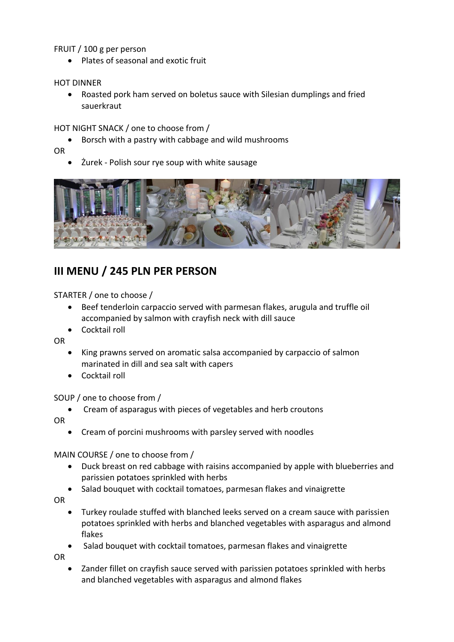FRUIT / 100 g per person

• Plates of seasonal and exotic fruit

### HOT DINNER

 Roasted pork ham served on boletus sauce with Silesian dumplings and fried sauerkraut

### HOT NIGHT SNACK / one to choose from /

Borsch with a pastry with cabbage and wild mushrooms

OR

Żurek - Polish sour rye soup with white sausage



## **III MENU / 245 PLN PER PERSON**

STARTER / one to choose /

- Beef tenderloin carpaccio served with parmesan flakes, arugula and truffle oil accompanied by salmon with crayfish neck with dill sauce
- Cocktail roll

OR

- King prawns served on aromatic salsa accompanied by carpaccio of salmon marinated in dill and sea salt with capers
- Cocktail roll

#### SOUP / one to choose from /

Cream of asparagus with pieces of vegetables and herb croutons

OR

Cream of porcini mushrooms with parsley served with noodles

MAIN COURSE / one to choose from /

- Duck breast on red cabbage with raisins accompanied by apple with blueberries and parissien potatoes sprinkled with herbs
- Salad bouquet with cocktail tomatoes, parmesan flakes and vinaigrette

OR

- Turkey roulade stuffed with blanched leeks served on a cream sauce with parissien potatoes sprinkled with herbs and blanched vegetables with asparagus and almond flakes
- Salad bouquet with cocktail tomatoes, parmesan flakes and vinaigrette

OR

 Zander fillet on crayfish sauce served with parissien potatoes sprinkled with herbs and blanched vegetables with asparagus and almond flakes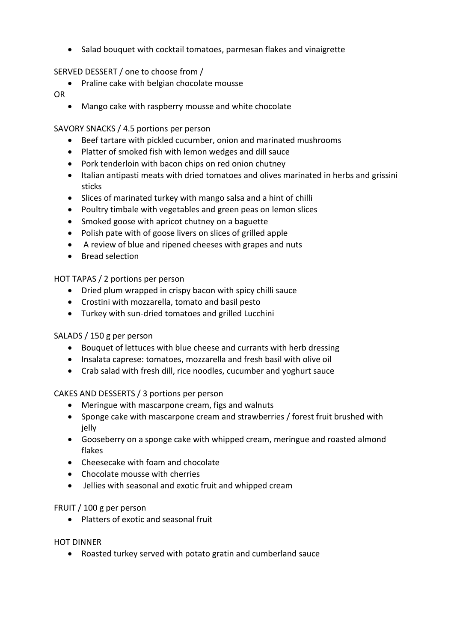Salad bouquet with cocktail tomatoes, parmesan flakes and vinaigrette

## SERVED DESSERT / one to choose from /

• Praline cake with belgian chocolate mousse

## OR

Mango cake with raspberry mousse and white chocolate

### SAVORY SNACKS / 4.5 portions per person

- Beef tartare with pickled cucumber, onion and marinated mushrooms
- Platter of smoked fish with lemon wedges and dill sauce
- Pork tenderloin with bacon chips on red onion chutney
- Italian antipasti meats with dried tomatoes and olives marinated in herbs and grissini sticks
- Slices of marinated turkey with mango salsa and a hint of chilli
- Poultry timbale with vegetables and green peas on lemon slices
- Smoked goose with apricot chutney on a baguette
- Polish pate with of goose livers on slices of grilled apple
- A review of blue and ripened cheeses with grapes and nuts
- Bread selection

## HOT TAPAS / 2 portions per person

- Dried plum wrapped in crispy bacon with spicy chilli sauce
- Crostini with mozzarella, tomato and basil pesto
- Turkey with sun-dried tomatoes and grilled Lucchini

## SALADS / 150 g per person

- Bouquet of lettuces with blue cheese and currants with herb dressing
- Insalata caprese: tomatoes, mozzarella and fresh basil with olive oil
- Crab salad with fresh dill, rice noodles, cucumber and yoghurt sauce

## CAKES AND DESSERTS / 3 portions per person

- Meringue with mascarpone cream, figs and walnuts
- Sponge cake with mascarpone cream and strawberries / forest fruit brushed with jelly
- Gooseberry on a sponge cake with whipped cream, meringue and roasted almond flakes
- Cheesecake with foam and chocolate
- Chocolate mousse with cherries
- Jellies with seasonal and exotic fruit and whipped cream

## FRUIT / 100 g per person

• Platters of exotic and seasonal fruit

#### HOT DINNER

Roasted turkey served with potato gratin and cumberland sauce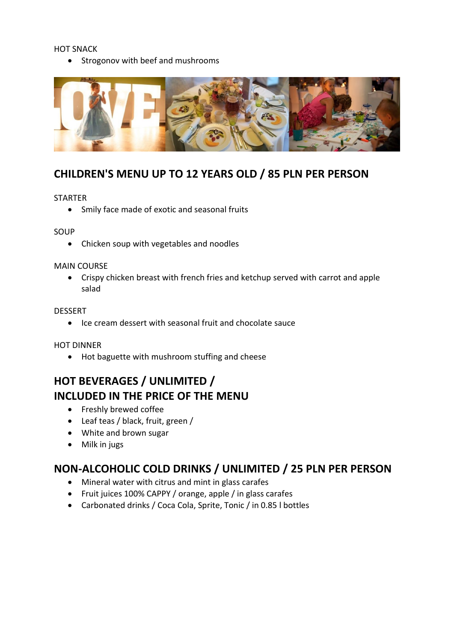#### HOT SNACK

• Strogonov with beef and mushrooms



## **CHILDREN'S MENU UP TO 12 YEARS OLD / 85 PLN PER PERSON**

#### STARTER

Smily face made of exotic and seasonal fruits

#### SOUP

Chicken soup with vegetables and noodles

#### MAIN COURSE

 Crispy chicken breast with french fries and ketchup served with carrot and apple salad

#### DESSERT

• Ice cream dessert with seasonal fruit and chocolate sauce

#### HOT DINNER

Hot baguette with mushroom stuffing and cheese

# **HOT BEVERAGES / UNLIMITED / INCLUDED IN THE PRICE OF THE MENU**

- Freshly brewed coffee
- Leaf teas / black, fruit, green /
- White and brown sugar
- Milk in jugs

## **NON-ALCOHOLIC COLD DRINKS / UNLIMITED / 25 PLN PER PERSON**

- Mineral water with citrus and mint in glass carafes
- Fruit juices 100% CAPPY / orange, apple / in glass carafes
- Carbonated drinks / Coca Cola, Sprite, Tonic / in 0.85 l bottles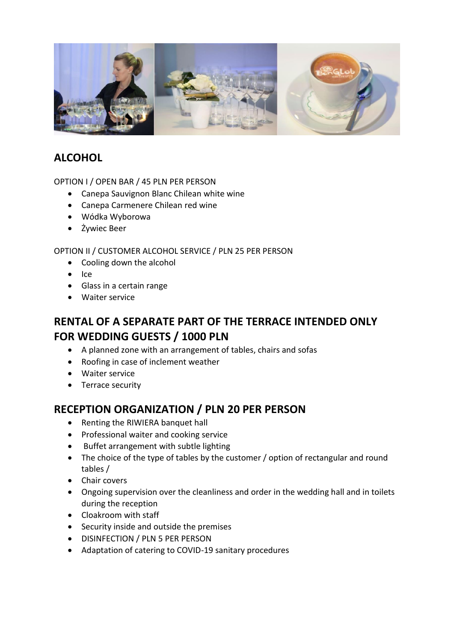

## **ALCOHOL**

OPTION I / OPEN BAR / 45 PLN PER PERSON

- Canepa Sauvignon Blanc Chilean white wine
- Canepa Carmenere Chilean red wine
- Wódka Wyborowa
- Żywiec Beer

OPTION II / CUSTOMER ALCOHOL SERVICE / PLN 25 PER PERSON

- Cooling down the alcohol
- $\bullet$  Ice
- Glass in a certain range
- Waiter service

## **RENTAL OF A SEPARATE PART OF THE TERRACE INTENDED ONLY FOR WEDDING GUESTS / 1000 PLN**

- A planned zone with an arrangement of tables, chairs and sofas
- Roofing in case of inclement weather
- Waiter service
- Terrace security

## **RECEPTION ORGANIZATION / PLN 20 PER PERSON**

- Renting the RIWIERA banquet hall
- Professional waiter and cooking service
- Buffet arrangement with subtle lighting
- The choice of the type of tables by the customer / option of rectangular and round tables /
- Chair covers
- Ongoing supervision over the cleanliness and order in the wedding hall and in toilets during the reception
- Cloakroom with staff
- Security inside and outside the premises
- DISINFECTION / PLN 5 PER PERSON
- Adaptation of catering to COVID-19 sanitary procedures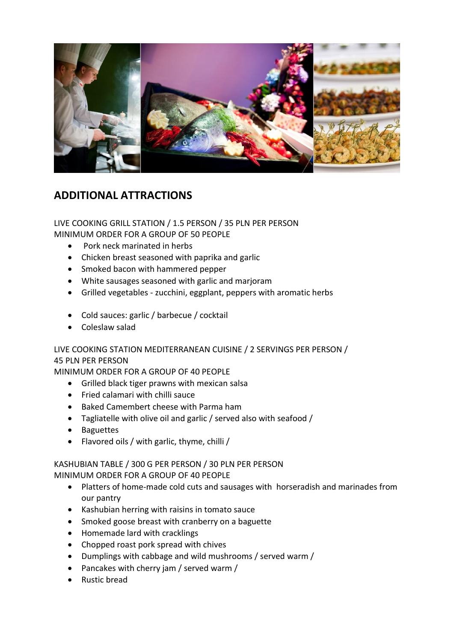

## **ADDITIONAL ATTRACTIONS**

LIVE COOKING GRILL STATION / 1.5 PERSON / 35 PLN PER PERSON MINIMUM ORDER FOR A GROUP OF 50 PEOPLE

- Pork neck marinated in herbs
- Chicken breast seasoned with paprika and garlic
- Smoked bacon with hammered pepper
- White sausages seasoned with garlic and marjoram
- Grilled vegetables zucchini, eggplant, peppers with aromatic herbs
- Cold sauces: garlic / barbecue / cocktail
- Coleslaw salad

LIVE COOKING STATION MEDITERRANEAN CUISINE / 2 SERVINGS PER PERSON / 45 PLN PER PERSON

MINIMUM ORDER FOR A GROUP OF 40 PEOPLE

- Grilled black tiger prawns with mexican salsa
- Fried calamari with chilli sauce
- Baked Camembert cheese with Parma ham
- Tagliatelle with olive oil and garlic / served also with seafood /
- Baguettes
- Flavored oils / with garlic, thyme, chilli /

## KASHUBIAN TABLE / 300 G PER PERSON / 30 PLN PER PERSON MINIMUM ORDER FOR A GROUP OF 40 PEOPLE

- Platters of home-made cold cuts and sausages with horseradish and marinades from our pantry
- Kashubian herring with raisins in tomato sauce
- Smoked goose breast with cranberry on a baguette
- Homemade lard with cracklings
- Chopped roast pork spread with chives
- Dumplings with cabbage and wild mushrooms / served warm /
- Pancakes with cherry jam / served warm /
- Rustic bread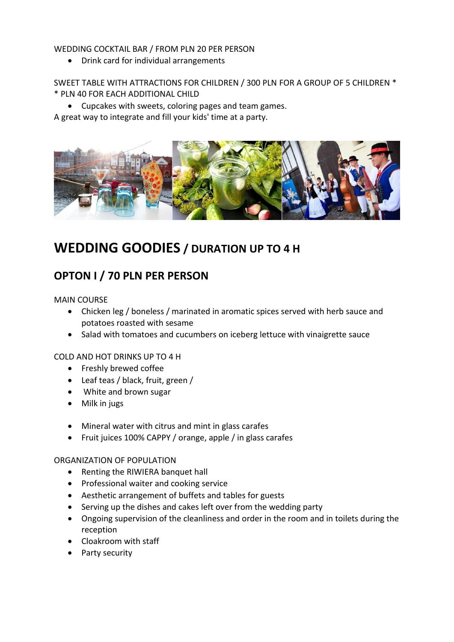### WEDDING COCKTAIL BAR / FROM PLN 20 PER PERSON

Drink card for individual arrangements

SWEET TABLE WITH ATTRACTIONS FOR CHILDREN / 300 PLN FOR A GROUP OF 5 CHILDREN \* \* PLN 40 FOR EACH ADDITIONAL CHILD

Cupcakes with sweets, coloring pages and team games.

A great way to integrate and fill your kids' time at a party.



# **WEDDING GOODIES / DURATION UP TO 4 H**

## **OPTON I / 70 PLN PER PERSON**

MAIN COURSE

- Chicken leg / boneless / marinated in aromatic spices served with herb sauce and potatoes roasted with sesame
- Salad with tomatoes and cucumbers on iceberg lettuce with vinaigrette sauce

#### COLD AND HOT DRINKS UP TO 4 H

- **•** Freshly brewed coffee
- Leaf teas / black, fruit, green /
- White and brown sugar
- Milk in jugs
- Mineral water with citrus and mint in glass carafes
- Fruit juices 100% CAPPY / orange, apple / in glass carafes

#### ORGANIZATION OF POPULATION

- Renting the RIWIERA banquet hall
- Professional waiter and cooking service
- Aesthetic arrangement of buffets and tables for guests
- Serving up the dishes and cakes left over from the wedding party
- Ongoing supervision of the cleanliness and order in the room and in toilets during the reception
- Cloakroom with staff
- Party security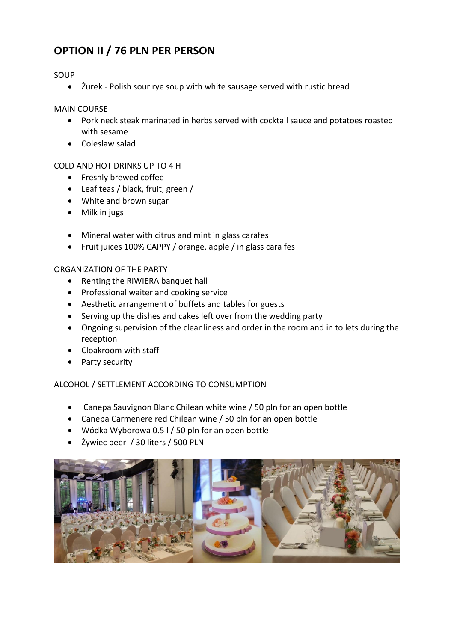# **OPTION II / 76 PLN PER PERSON**

## SOUP

Żurek - Polish sour rye soup with white sausage served with rustic bread

#### MAIN COURSE

- Pork neck steak marinated in herbs served with cocktail sauce and potatoes roasted with sesame
- Coleslaw salad

### COLD AND HOT DRINKS UP TO 4 H

- Freshly brewed coffee
- Leaf teas / black, fruit, green /
- White and brown sugar
- Milk in jugs
- Mineral water with citrus and mint in glass carafes
- Fruit juices 100% CAPPY / orange, apple / in glass cara fes

#### ORGANIZATION OF THE PARTY

- Renting the RIWIERA banquet hall
- Professional waiter and cooking service
- Aesthetic arrangement of buffets and tables for guests
- Serving up the dishes and cakes left over from the wedding party
- Ongoing supervision of the cleanliness and order in the room and in toilets during the reception
- Cloakroom with staff
- Party security

#### ALCOHOL / SETTLEMENT ACCORDING TO CONSUMPTION

- Canepa Sauvignon Blanc Chilean white wine / 50 pln for an open bottle
- Canepa Carmenere red Chilean wine / 50 pln for an open bottle
- Wódka Wyborowa 0.5 l / 50 pln for an open bottle
- Żywiec beer / 30 liters / 500 PLN

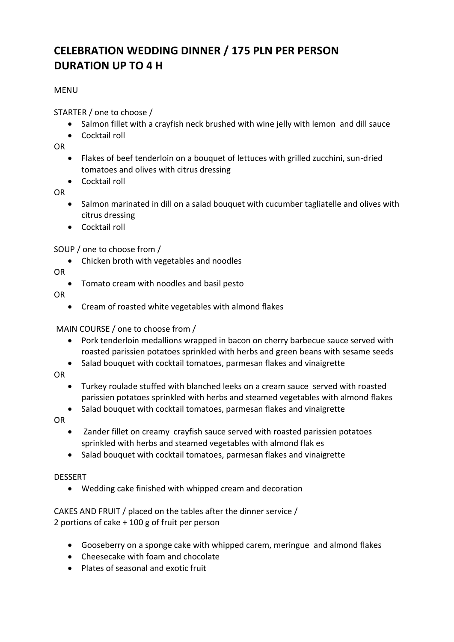# **CELEBRATION WEDDING DINNER / 175 PLN PER PERSON DURATION UP TO 4 H**

## **MENU**

STARTER / one to choose /

- Salmon fillet with a crayfish neck brushed with wine jelly with lemon and dill sauce
- **•** Cocktail roll

OR

- Flakes of beef tenderloin on a bouquet of lettuces with grilled zucchini, sun-dried tomatoes and olives with citrus dressing
- Cocktail roll

OR

- Salmon marinated in dill on a salad bouquet with cucumber tagliatelle and olives with citrus dressing
- Cocktail roll

## SOUP / one to choose from /

Chicken broth with vegetables and noodles

OR

Tomato cream with noodles and basil pesto

OR

Cream of roasted white vegetables with almond flakes

## MAIN COURSE / one to choose from /

- Pork tenderloin medallions wrapped in bacon on cherry barbecue sauce served with roasted parissien potatoes sprinkled with herbs and green beans with sesame seeds
- Salad bouquet with cocktail tomatoes, parmesan flakes and vinaigrette

OR

- Turkey roulade stuffed with blanched leeks on a cream sauce served with roasted parissien potatoes sprinkled with herbs and steamed vegetables with almond flakes
- Salad bouquet with cocktail tomatoes, parmesan flakes and vinaigrette

OR

- Zander fillet on creamy crayfish sauce served with roasted parissien potatoes sprinkled with herbs and steamed vegetables with almond flak es
- Salad bouquet with cocktail tomatoes, parmesan flakes and vinaigrette

## DESSERT

Wedding cake finished with whipped cream and decoration

CAKES AND FRUIT / placed on the tables after the dinner service / 2 portions of cake + 100 g of fruit per person

- Gooseberry on a sponge cake with whipped carem, meringue and almond flakes
- Cheesecake with foam and chocolate
- Plates of seasonal and exotic fruit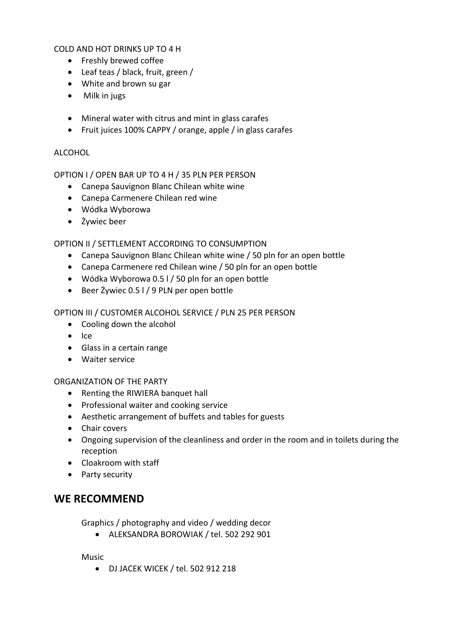COLD AND HOT DRINKS UP TO 4 H

- Freshly brewed coffee
- Leaf teas / black, fruit, green /
- White and brown su gar
- Milk in jugs
- Mineral water with citrus and mint in glass carafes
- Fruit juices 100% CAPPY / orange, apple / in glass carafes

## ALCOHOL

OPTION I / OPEN BAR UP TO 4 H / 35 PLN PER PERSON

- Canepa Sauvignon Blanc Chilean white wine
- Canepa Carmenere Chilean red wine
- Wódka Wyborowa
- Żywiec beer

OPTION II / SETTLEMENT ACCORDING TO CONSUMPTION

- Canepa Sauvignon Blanc Chilean white wine / 50 pln for an open bottle
- Canepa Carmenere red Chilean wine / 50 pln for an open bottle
- Wódka Wyborowa 0.5 l / 50 pln for an open bottle
- Beer Żywiec 0.5 l / 9 PLN per open bottle

## OPTION III / CUSTOMER ALCOHOL SERVICE / PLN 25 PER PERSON

- Cooling down the alcohol
- $\bullet$  Ice
- Glass in a certain range
- Waiter service

## ORGANIZATION OF THE PARTY

- Renting the RIWIERA banquet hall
- Professional waiter and cooking service
- Aesthetic arrangement of buffets and tables for guests
- Chair covers
- Ongoing supervision of the cleanliness and order in the room and in toilets during the reception
- Cloakroom with staff
- Party security

## **WE RECOMMEND**

Graphics / photography and video / wedding decor

ALEKSANDRA BOROWIAK / tel. 502 292 901

Music

DJ JACEK WICEK / tel. 502 912 218